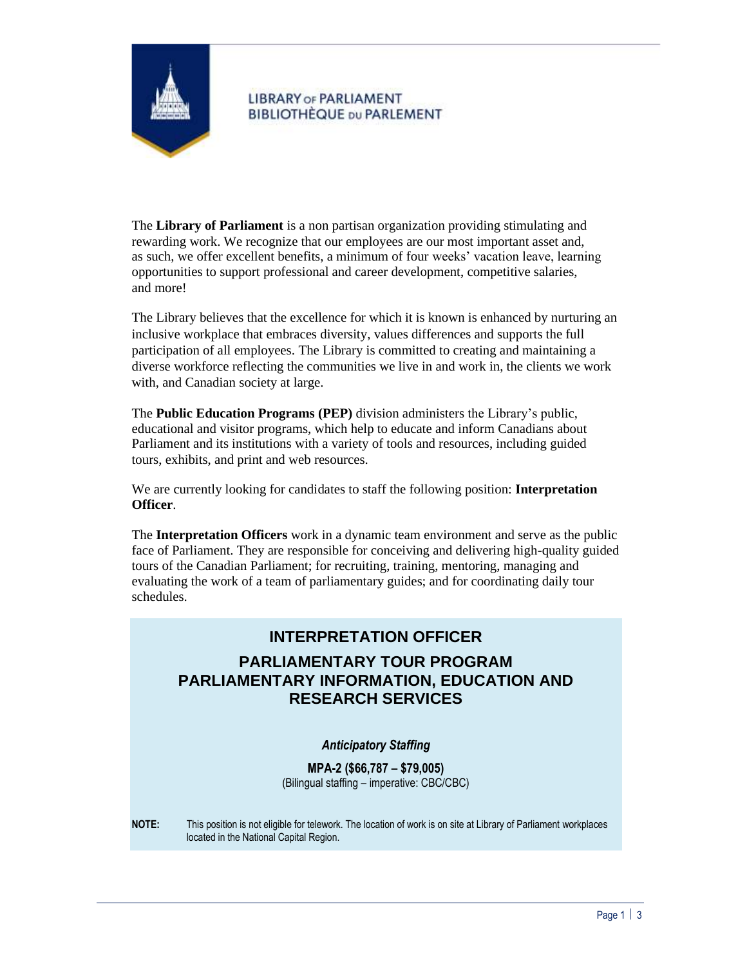

## **LIBRARY OF PARLIAMENT BIBLIOTHÈQUE DU PARLEMENT**

The **Library of Parliament** is a non partisan organization providing stimulating and rewarding work. We recognize that our employees are our most important asset and, as such, we offer excellent benefits, a minimum of four weeks' vacation leave, learning opportunities to support professional and career development, competitive salaries, and more!

The Library believes that the excellence for which it is known is enhanced by nurturing an inclusive workplace that embraces diversity, values differences and supports the full participation of all employees. The Library is committed to creating and maintaining a diverse workforce reflecting the communities we live in and work in, the clients we work with, and Canadian society at large.

The **Public Education Programs (PEP)** division administers the Library's public, educational and visitor programs, which help to educate and inform Canadians about Parliament and its institutions with a variety of tools and resources, including guided tours, exhibits, and print and web resources.

We are currently looking for candidates to staff the following position: **Interpretation Officer**.

The **Interpretation Officers** work in a dynamic team environment and serve as the public face of Parliament. They are responsible for conceiving and delivering high-quality guided tours of the Canadian Parliament; for recruiting, training, mentoring, managing and evaluating the work of a team of parliamentary guides; and for coordinating daily tour schedules.

# **INTERPRETATION OFFICER**

# **PARLIAMENTARY TOUR PROGRAM PARLIAMENTARY INFORMATION, EDUCATION AND RESEARCH SERVICES**

## *Anticipatory Staffing*

**MPA-2 (\$66,787 – \$79,005)** (Bilingual staffing – imperative: CBC/CBC)

**NOTE:** This position is not eligible for telework. The location of work is on site at Library of Parliament workplaces located in the National Capital Region.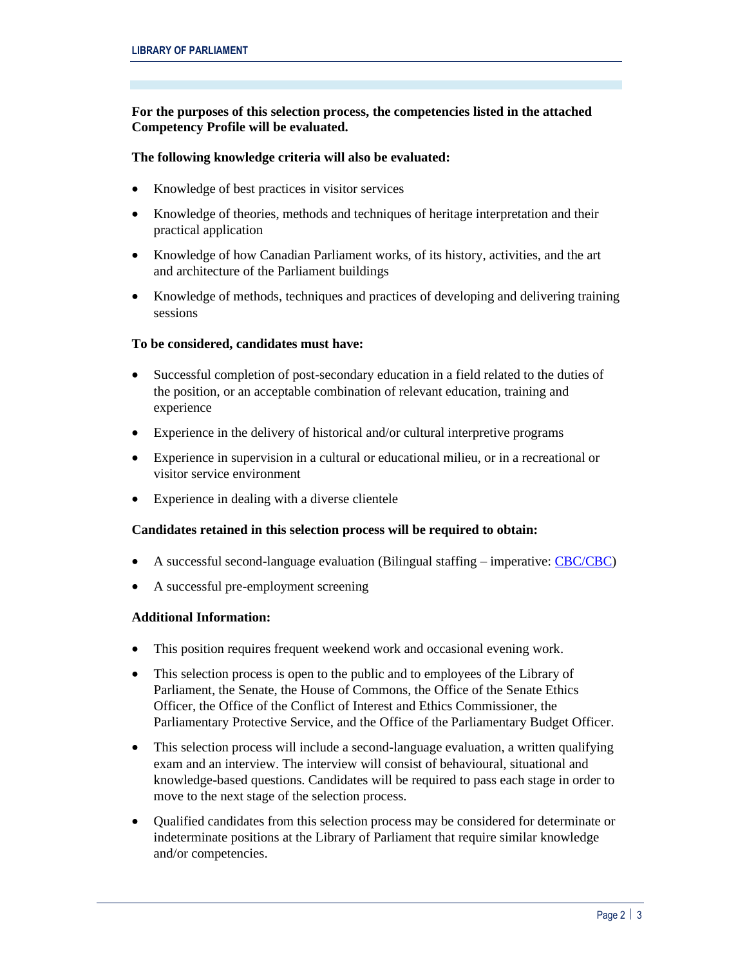## **For the purposes of this selection process, the competencies listed in the attached Competency Profile will be evaluated.**

## **The following knowledge criteria will also be evaluated:**

- Knowledge of best practices in visitor services
- Knowledge of theories, methods and techniques of heritage interpretation and their practical application
- Knowledge of how Canadian Parliament works, of its history, activities, and the art and architecture of the Parliament buildings
- Knowledge of methods, techniques and practices of developing and delivering training sessions

#### **To be considered, candidates must have:**

- Successful completion of post-secondary education in a field related to the duties of the position, or an acceptable combination of relevant education, training and experience
- Experience in the delivery of historical and/or cultural interpretive programs
- Experience in supervision in a cultural or educational milieu, or in a recreational or visitor service environment
- Experience in dealing with a diverse clientele

## **Candidates retained in this selection process will be required to obtain:**

- A successful second-language evaluation (Bilingual staffing imperative[: CBC/CBC\)](https://www.canada.ca/en/treasury-board-secretariat/services/staffing/qualification-standards/relation-official-languages.html)
- A successful pre-employment screening

#### **Additional Information:**

- This position requires frequent weekend work and occasional evening work.
- This selection process is open to the public and to employees of the Library of Parliament, the Senate, the House of Commons, the Office of the Senate Ethics Officer, the Office of the Conflict of Interest and Ethics Commissioner, the Parliamentary Protective Service, and the Office of the Parliamentary Budget Officer.
- This selection process will include a second-language evaluation, a written qualifying exam and an interview. The interview will consist of behavioural, situational and knowledge-based questions. Candidates will be required to pass each stage in order to move to the next stage of the selection process.
- Qualified candidates from this selection process may be considered for determinate or indeterminate positions at the Library of Parliament that require similar knowledge and/or competencies.